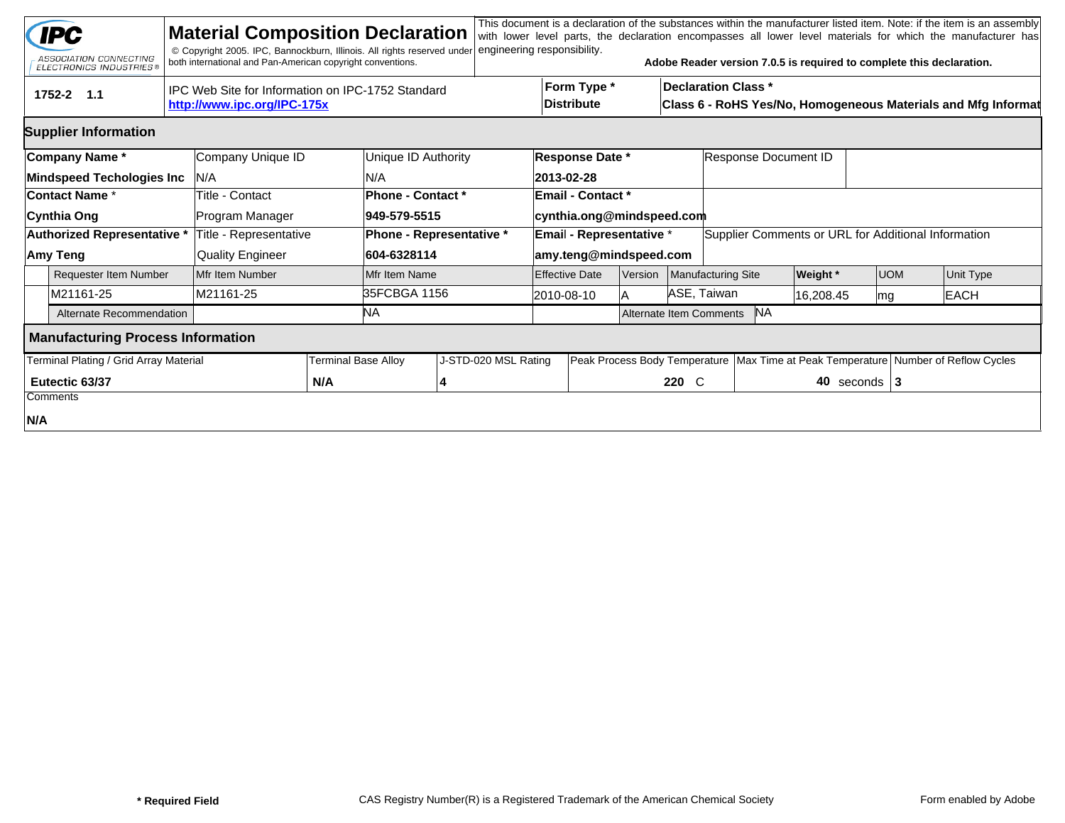|                                                                                                | <b>IPC</b><br>ASSOCIATION CONNECTING<br><b>ELECTRONICS INDUSTRIES®</b> |  | <b>Material Composition Declaration</b><br>© Copyright 2005. IPC, Bannockburn, Illinois. All rights reserved under<br>both international and Pan-American copyright conventions. |  |                   | engineering responsibility. |  |                                                                                                                          |                 |                                      | Adobe Reader version 7.0.5 is required to complete this declaration. |                      |                                                      |  | This document is a declaration of the substances within the manufacturer listed item. Note: if the item is an assembly<br>with lower level parts, the declaration encompasses all lower level materials for which the manufacturer has |
|------------------------------------------------------------------------------------------------|------------------------------------------------------------------------|--|----------------------------------------------------------------------------------------------------------------------------------------------------------------------------------|--|-------------------|-----------------------------|--|--------------------------------------------------------------------------------------------------------------------------|-----------------|--------------------------------------|----------------------------------------------------------------------|----------------------|------------------------------------------------------|--|----------------------------------------------------------------------------------------------------------------------------------------------------------------------------------------------------------------------------------------|
| IPC Web Site for Information on IPC-1752 Standard<br>1752-2 1.1<br>http://www.ipc.org/IPC-175x |                                                                        |  |                                                                                                                                                                                  |  |                   |                             |  | Form Type *<br><b>Declaration Class *</b><br>Distribute<br>Class 6 - RoHS Yes/No, Homogeneous Materials and Mfg Informat |                 |                                      |                                                                      |                      |                                                      |  |                                                                                                                                                                                                                                        |
|                                                                                                | <b>Supplier Information</b>                                            |  |                                                                                                                                                                                  |  |                   |                             |  |                                                                                                                          |                 |                                      |                                                                      |                      |                                                      |  |                                                                                                                                                                                                                                        |
|                                                                                                | Company Name*                                                          |  | Company Unique ID                                                                                                                                                                |  |                   | Unique ID Authority         |  |                                                                                                                          | Response Date * |                                      |                                                                      | Response Document ID |                                                      |  |                                                                                                                                                                                                                                        |
|                                                                                                | <b>Mindspeed Techologies Inc</b>                                       |  | IN/A                                                                                                                                                                             |  | N/A               |                             |  | 2013-02-28                                                                                                               |                 |                                      |                                                                      |                      |                                                      |  |                                                                                                                                                                                                                                        |
| Contact Name *                                                                                 |                                                                        |  | Title - Contact                                                                                                                                                                  |  | Phone - Contact * |                             |  | <b>Email - Contact *</b>                                                                                                 |                 |                                      |                                                                      |                      |                                                      |  |                                                                                                                                                                                                                                        |
|                                                                                                | Cynthia Ong                                                            |  | Program Manager                                                                                                                                                                  |  | 949-579-5515      |                             |  | cynthia.ong@mindspeed.com                                                                                                |                 |                                      |                                                                      |                      |                                                      |  |                                                                                                                                                                                                                                        |
|                                                                                                | Authorized Representative *                                            |  | Title - Representative                                                                                                                                                           |  |                   | Phone - Representative *    |  | Email - Representative *                                                                                                 |                 |                                      | Supplier Comments or URL for Additional Information                  |                      |                                                      |  |                                                                                                                                                                                                                                        |
|                                                                                                | Amy Teng                                                               |  | <b>Quality Engineer</b>                                                                                                                                                          |  | 604-6328114       | amy.teng@mindspeed.com      |  |                                                                                                                          |                 |                                      |                                                                      |                      |                                                      |  |                                                                                                                                                                                                                                        |
|                                                                                                | <b>Requester Item Number</b>                                           |  | Mfr Item Number                                                                                                                                                                  |  | Mfr Item Name     |                             |  | <b>Effective Date</b>                                                                                                    | Version         |                                      | Manufacturing Site                                                   | <b>Weight</b> *      | <b>UOM</b>                                           |  | Unit Type                                                                                                                                                                                                                              |
|                                                                                                | M21161-25                                                              |  | M21161-25                                                                                                                                                                        |  | 35FCBGA 1156      |                             |  | 2010-08-10                                                                                                               |                 | ASE, Taiwan                          |                                                                      | 16,208.45            | mg                                                   |  | <b>EACH</b>                                                                                                                                                                                                                            |
|                                                                                                | Alternate Recommendation                                               |  |                                                                                                                                                                                  |  | ΝA                |                             |  |                                                                                                                          |                 | <b>NA</b><br>Alternate Item Comments |                                                                      |                      |                                                      |  |                                                                                                                                                                                                                                        |
|                                                                                                | <b>Manufacturing Process Information</b>                               |  |                                                                                                                                                                                  |  |                   |                             |  |                                                                                                                          |                 |                                      |                                                                      |                      |                                                      |  |                                                                                                                                                                                                                                        |
| Terminal Plating / Grid Array Material<br><b>Terminal Base Alloy</b>                           |                                                                        |  |                                                                                                                                                                                  |  |                   | J-STD-020 MSL Rating        |  | Peak Process Body Temperature                                                                                            |                 |                                      |                                                                      |                      | Max Time at Peak Temperature Number of Reflow Cycles |  |                                                                                                                                                                                                                                        |
|                                                                                                | Eutectic 63/37                                                         |  | N/A                                                                                                                                                                              |  |                   |                             |  |                                                                                                                          | 220 C           | 40 seconds $ 3 $                     |                                                                      |                      |                                                      |  |                                                                                                                                                                                                                                        |
|                                                                                                | Comments                                                               |  |                                                                                                                                                                                  |  |                   |                             |  |                                                                                                                          |                 |                                      |                                                                      |                      |                                                      |  |                                                                                                                                                                                                                                        |
| N/A                                                                                            |                                                                        |  |                                                                                                                                                                                  |  |                   |                             |  |                                                                                                                          |                 |                                      |                                                                      |                      |                                                      |  |                                                                                                                                                                                                                                        |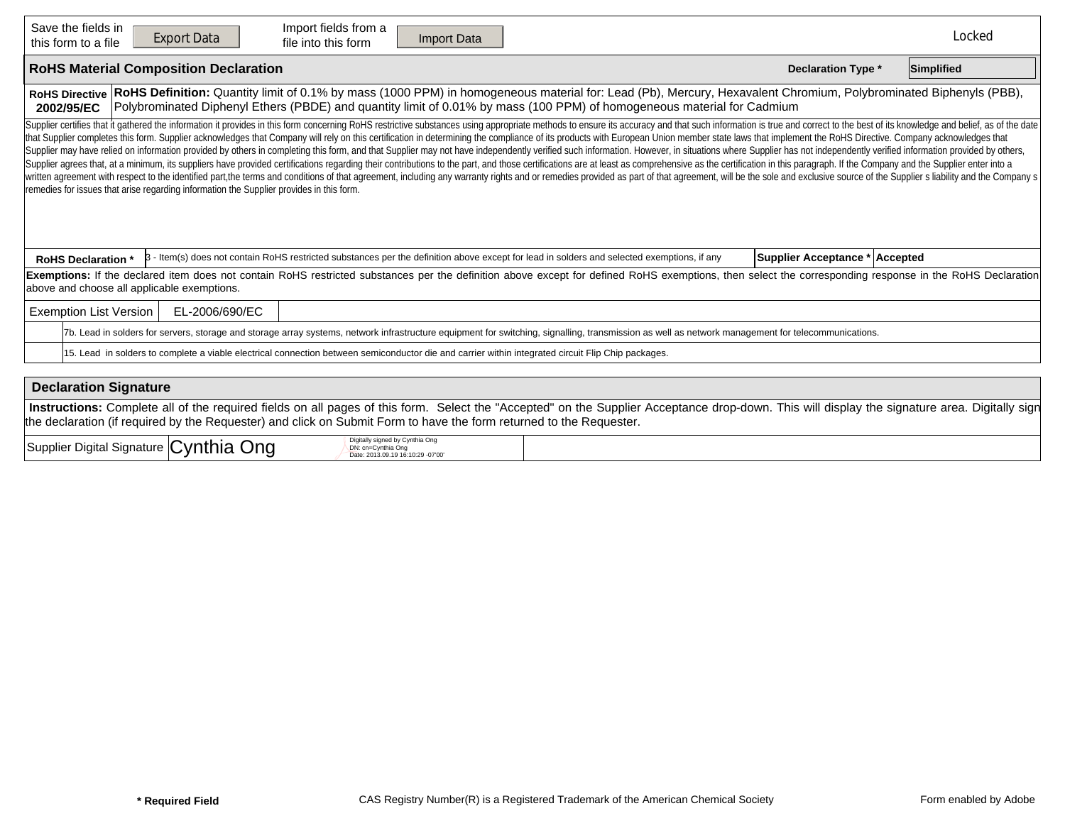| Save the fields in<br>Import fields from a<br><b>Export Data</b><br><b>Import Data</b><br>file into this form<br>this form to a file                                                                                                                                                                                                                                                                                                                                                                                                                                                                                                                                                                                                                                                                                                                                                                                                                                                                                                                                                                                                                                                                                                                              | Locked     |
|-------------------------------------------------------------------------------------------------------------------------------------------------------------------------------------------------------------------------------------------------------------------------------------------------------------------------------------------------------------------------------------------------------------------------------------------------------------------------------------------------------------------------------------------------------------------------------------------------------------------------------------------------------------------------------------------------------------------------------------------------------------------------------------------------------------------------------------------------------------------------------------------------------------------------------------------------------------------------------------------------------------------------------------------------------------------------------------------------------------------------------------------------------------------------------------------------------------------------------------------------------------------|------------|
| <b>RoHS Material Composition Declaration</b><br><b>Declaration Type *</b>                                                                                                                                                                                                                                                                                                                                                                                                                                                                                                                                                                                                                                                                                                                                                                                                                                                                                                                                                                                                                                                                                                                                                                                         | Simplified |
| RoHS Definition: Quantity limit of 0.1% by mass (1000 PPM) in homogeneous material for: Lead (Pb), Mercury, Hexavalent Chromium, Polybrominated Biphenyls (PBB),<br><b>RoHS Directive</b><br>Polybrominated Diphenyl Ethers (PBDE) and quantity limit of 0.01% by mass (100 PPM) of homogeneous material for Cadmium<br>2002/95/EC                                                                                                                                                                                                                                                                                                                                                                                                                                                                                                                                                                                                                                                                                                                                                                                                                                                                                                                                |            |
| Supplier certifies that it gathered the information it provides in this form concerning RoHS restrictive substances using appropriate methods to ensure its accuracy and that such information is true and correct to the best<br>that Supplier completes this form. Supplier acknowledges that Company will rely on this certification in determining the compliance of its products with European Union member state laws that implement the RoHS Directive. C<br>Supplier may have relied on information provided by others in completing this form, and that Supplier may not have independently verified such information. However, in situations where Supplier has not independently verifi<br>Supplier agrees that, at a minimum, its suppliers have provided certifications regarding their contributions to the part, and those certifications are at least as comprehensive as the certification in this paragraph. If th<br>written agreement with respect to the identified part, the terms and conditions of that agreement, including any warranty rights and or remedies provided as part of that agreement, will be the sole and exclusive source of<br>remedies for issues that arise regarding information the Supplier provides in this form. |            |
| 3 - Item(s) does not contain RoHS restricted substances per the definition above except for lead in solders and selected exemptions, if any<br>Supplier Acceptance * Accepted<br><b>RoHS Declaration</b> *                                                                                                                                                                                                                                                                                                                                                                                                                                                                                                                                                                                                                                                                                                                                                                                                                                                                                                                                                                                                                                                        |            |
| Exemptions: If the declared item does not contain RoHS restricted substances per the definition above except for defined RoHS exemptions, then select the corresponding response in the RoHS Declaration<br>above and choose all applicable exemptions.                                                                                                                                                                                                                                                                                                                                                                                                                                                                                                                                                                                                                                                                                                                                                                                                                                                                                                                                                                                                           |            |
| <b>Exemption List Version</b><br>EL-2006/690/EC                                                                                                                                                                                                                                                                                                                                                                                                                                                                                                                                                                                                                                                                                                                                                                                                                                                                                                                                                                                                                                                                                                                                                                                                                   |            |
| 7b. Lead in solders for servers, storage and storage array systems, network infrastructure equipment for switching, signalling, transmission as well as network management for telecommunications.                                                                                                                                                                                                                                                                                                                                                                                                                                                                                                                                                                                                                                                                                                                                                                                                                                                                                                                                                                                                                                                                |            |
| 15. Lead in solders to complete a viable electrical connection between semiconductor die and carrier within integrated circuit Flip Chip packages.                                                                                                                                                                                                                                                                                                                                                                                                                                                                                                                                                                                                                                                                                                                                                                                                                                                                                                                                                                                                                                                                                                                |            |
| Dealaration Cinnature                                                                                                                                                                                                                                                                                                                                                                                                                                                                                                                                                                                                                                                                                                                                                                                                                                                                                                                                                                                                                                                                                                                                                                                                                                             |            |

| Declaration Signature                                                                                                                                                                         |
|-----------------------------------------------------------------------------------------------------------------------------------------------------------------------------------------------|
| Instructions: Complete all of the required fields on all pages of this form. Select the "Accepted" on the Supplier Acceptance drop-down. This will display the signature area. Digitally sign |
| the declaration (if required by the Requester) and click on Submit Form to have the form returned to the Requester.                                                                           |

| $\overline{\phantom{0}}$<br>$\sim$<br>.<br>-<br>.vnt<br>⊃igital '<br>Signature<br>nia<br>l Supplier<br>. | Diaita<br>$1.1.01$ $1.1.1$<br>.<br>. יוחרי<br>. .<br>19 16:10:29 -07'00<br>2013.09 |  |
|----------------------------------------------------------------------------------------------------------|------------------------------------------------------------------------------------|--|
|----------------------------------------------------------------------------------------------------------|------------------------------------------------------------------------------------|--|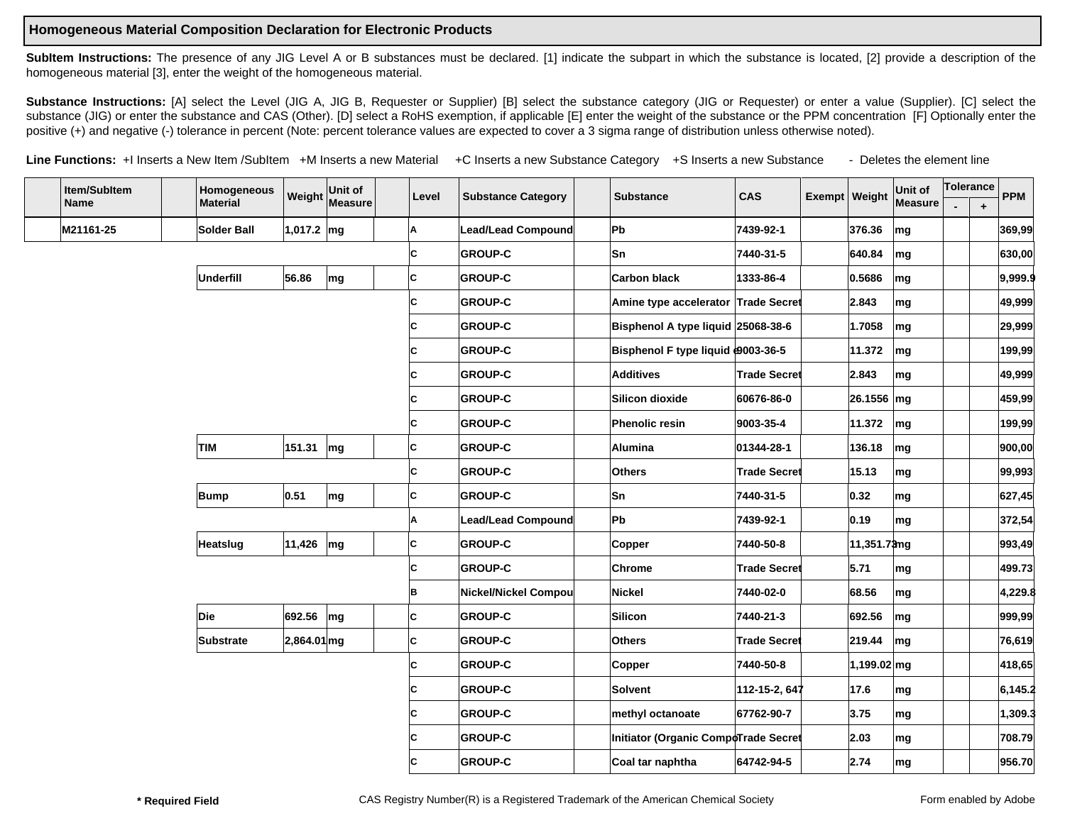## **Homogeneous Material Composition Declaration for Electronic Products**

**SubItem Instructions:** The presence of any JIG Level A or B substances must be declared. [1] indicate the subpart in which the substance is located, [2] provide a description of the homogeneous material [3], enter the weight of the homogeneous material.

Substance Instructions: [A] select the Level (JIG A, JIG B, Requester or Supplier) [B] select the substance category (JIG or Requester) or enter a value (Supplier). [C] select the substance (JIG) or enter the substance and CAS (Other). [D] select a RoHS exemption, if applicable [E] enter the weight of the substance or the PPM concentration [F] Optionally enter the positive (+) and negative (-) tolerance in percent (Note: percent tolerance values are expected to cover a 3 sigma range of distribution unless otherwise noted).

Line Functions: +I Inserts a New Item /SubItem +M Inserts a new Material +C Inserts a new Substance Category +S Inserts a new Substance - Deletes the element line

| Item/SubItem |           |  | Homogeneous<br><b>Material</b> |              | Weight Unit of | Level | <b>Substance Category</b> | <b>Substance</b> | <b>CAS</b>                           | Exempt Weight       | Unit of     | Tolerance                |  | <b>PPM</b> |          |
|--------------|-----------|--|--------------------------------|--------------|----------------|-------|---------------------------|------------------|--------------------------------------|---------------------|-------------|--------------------------|--|------------|----------|
|              | Name      |  |                                |              | Measure        |       |                           |                  |                                      |                     |             | Measure                  |  | $\ddag$    |          |
|              | M21161-25 |  | <b>Solder Ball</b>             | 1,017.2 $mg$ |                | Α     | Lead/Lead Compound        |                  | Pb                                   | 7439-92-1           | 376.36      | mg                       |  |            | 369,99   |
|              |           |  |                                |              |                | c     | <b>GROUP-C</b>            |                  | lSn                                  | 7440-31-5           | 640.84      | mg                       |  |            | 630,00   |
|              |           |  | <b>Underfill</b>               | 56.86        | mg             | c     | <b>GROUP-C</b>            |                  | <b>Carbon black</b>                  | 1333-86-4           | 0.5686      | mg                       |  |            | 9,999.9  |
|              |           |  |                                |              |                | c     | <b>GROUP-C</b>            |                  | Amine type accelerator Trade Secret  |                     | 2.843       | mg                       |  |            | 49,999   |
|              |           |  |                                |              |                | C     | <b>GROUP-C</b>            |                  | Bisphenol A type liquid 25068-38-6   |                     | 1.7058      | mg                       |  |            | 29,999   |
|              |           |  |                                |              |                | C     | <b>GROUP-C</b>            |                  | Bisphenol F type liquid 0003-36-5    |                     | 11.372      | mg                       |  |            | 199,99   |
|              |           |  |                                |              |                | C     | <b>GROUP-C</b>            |                  | Additives                            | <b>Trade Secret</b> | 2.843       | mg                       |  |            | 49,999   |
|              |           |  |                                |              |                | C     | <b>GROUP-C</b>            |                  | Silicon dioxide                      | 60676-86-0          | 26.1556 mg  |                          |  |            | 459,99   |
|              |           |  |                                |              |                | C     | <b>GROUP-C</b>            |                  | Phenolic resin                       | 9003-35-4           | 11.372      | mg                       |  |            | 199,99   |
|              |           |  | TIM                            | 151.31       | mg             | c     | <b>GROUP-C</b>            |                  | <b>Alumina</b>                       | 01344-28-1          | 136.18      | mg                       |  |            | 900,00   |
|              |           |  |                                |              |                | C     | <b>GROUP-C</b>            |                  | <b>Others</b>                        | Trade Secret        | 15.13       | mg                       |  |            | 99,993   |
|              |           |  | <b>Bump</b>                    | 0.51         | mg             | c     | <b>GROUP-C</b>            |                  | Sn                                   | 7440-31-5           | 0.32        | mg                       |  |            | 627,45   |
|              |           |  |                                |              |                | A     | Lead/Lead Compound        |                  | Pb                                   | 7439-92-1           | 0.19        | mg                       |  |            | 372,54   |
|              |           |  | Heatslug                       | 11,426       | mg             | c     | <b>GROUP-C</b>            |                  | <b>Copper</b>                        | 7440-50-8           | 11,351.73mg |                          |  |            | 993,49   |
|              |           |  |                                |              |                | c     | <b>GROUP-C</b>            |                  | Chrome                               | Trade Secret        | 5.71        | mg                       |  |            | 499.73   |
|              |           |  |                                |              |                | B     | Nickel/Nickel Compou      |                  | Nickel                               | 7440-02-0           | 68.56       | mg                       |  |            | 4,229.8  |
|              |           |  | Die                            | 692.56       | mg             | C     | <b>GROUP-C</b>            |                  | Silicon                              | 7440-21-3           | 692.56      | mg                       |  |            | 999,99   |
|              |           |  | <b>Substrate</b>               | 2,864.01 mg  |                | c     | <b>GROUP-C</b>            |                  | <b>Others</b>                        | <b>Trade Secret</b> | 219.44      | mg                       |  |            | 76,619   |
|              |           |  |                                |              |                | c     | <b>GROUP-C</b>            |                  | Copper                               | 7440-50-8           | 1,199.02 mg |                          |  |            | 418,65   |
|              |           |  |                                |              |                | C     | <b>GROUP-C</b>            |                  | Solvent                              | 112-15-2, 647       | 17.6        | mg                       |  |            | 6, 145.2 |
|              |           |  |                                |              |                | C     | <b>GROUP-C</b>            |                  | methyl octanoate                     | 67762-90-7          | 3.75        | ∣mg                      |  |            | 1,309.3  |
|              |           |  |                                |              |                | C     | <b>GROUP-C</b>            |                  | Initiator (Organic CompoTrade Secret |                     | 2.03        | mg                       |  |            | 708.79   |
|              |           |  |                                |              |                | C     | <b>GROUP-C</b>            |                  | Coal tar naphtha                     | 64742-94-5          | 2.74        | $\mathsf{Im} \mathsf{g}$ |  |            | 956.70   |